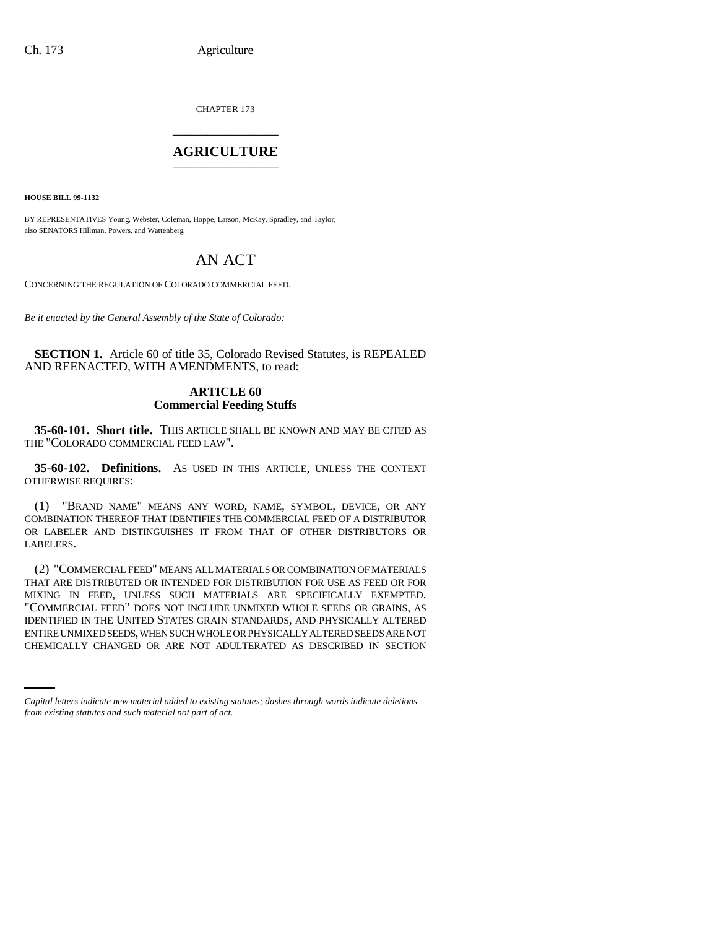CHAPTER 173 \_\_\_\_\_\_\_\_\_\_\_\_\_\_\_

# **AGRICULTURE** \_\_\_\_\_\_\_\_\_\_\_\_\_\_\_

**HOUSE BILL 99-1132** 

BY REPRESENTATIVES Young, Webster, Coleman, Hoppe, Larson, McKay, Spradley, and Taylor; also SENATORS Hillman, Powers, and Wattenberg.

# AN ACT

CONCERNING THE REGULATION OF COLORADO COMMERCIAL FEED.

*Be it enacted by the General Assembly of the State of Colorado:*

**SECTION 1.** Article 60 of title 35, Colorado Revised Statutes, is REPEALED AND REENACTED, WITH AMENDMENTS, to read:

# **ARTICLE 60 Commercial Feeding Stuffs**

**35-60-101. Short title.** THIS ARTICLE SHALL BE KNOWN AND MAY BE CITED AS THE "COLORADO COMMERCIAL FEED LAW".

**35-60-102. Definitions.** AS USED IN THIS ARTICLE, UNLESS THE CONTEXT OTHERWISE REQUIRES:

(1) "BRAND NAME" MEANS ANY WORD, NAME, SYMBOL, DEVICE, OR ANY COMBINATION THEREOF THAT IDENTIFIES THE COMMERCIAL FEED OF A DISTRIBUTOR OR LABELER AND DISTINGUISHES IT FROM THAT OF OTHER DISTRIBUTORS OR LABELERS.

ENTIRE UNMIXED SEEDS, WHEN SUCH WHOLE OR PHYSICALLY ALTERED SEEDS ARE NOT (2) "COMMERCIAL FEED" MEANS ALL MATERIALS OR COMBINATION OF MATERIALS THAT ARE DISTRIBUTED OR INTENDED FOR DISTRIBUTION FOR USE AS FEED OR FOR MIXING IN FEED, UNLESS SUCH MATERIALS ARE SPECIFICALLY EXEMPTED. "COMMERCIAL FEED" DOES NOT INCLUDE UNMIXED WHOLE SEEDS OR GRAINS, AS IDENTIFIED IN THE UNITED STATES GRAIN STANDARDS, AND PHYSICALLY ALTERED CHEMICALLY CHANGED OR ARE NOT ADULTERATED AS DESCRIBED IN SECTION

*Capital letters indicate new material added to existing statutes; dashes through words indicate deletions from existing statutes and such material not part of act.*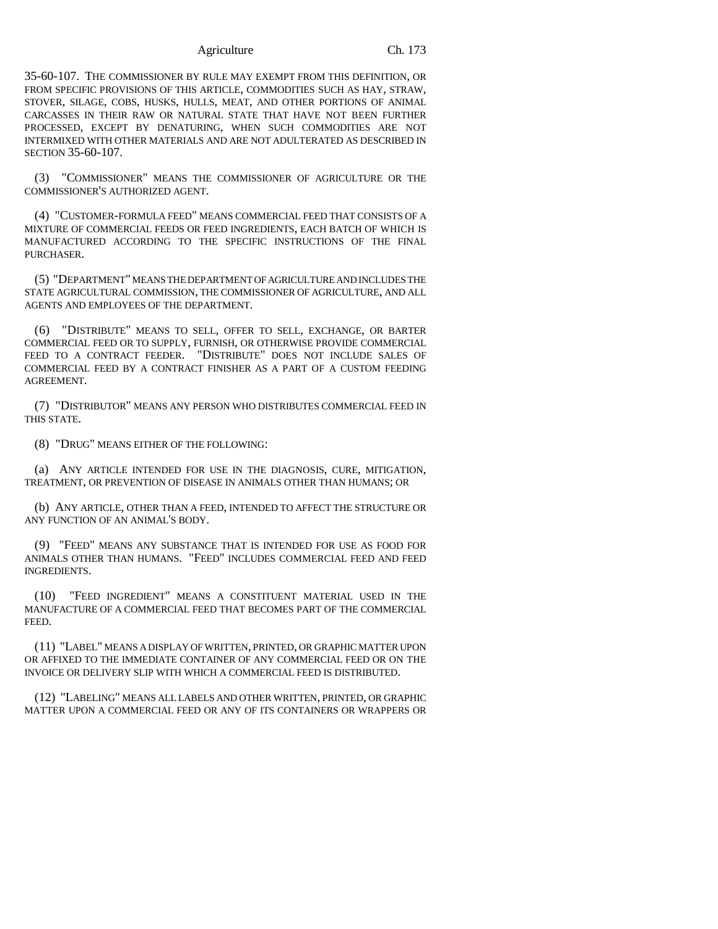35-60-107. THE COMMISSIONER BY RULE MAY EXEMPT FROM THIS DEFINITION, OR FROM SPECIFIC PROVISIONS OF THIS ARTICLE, COMMODITIES SUCH AS HAY, STRAW, STOVER, SILAGE, COBS, HUSKS, HULLS, MEAT, AND OTHER PORTIONS OF ANIMAL CARCASSES IN THEIR RAW OR NATURAL STATE THAT HAVE NOT BEEN FURTHER PROCESSED, EXCEPT BY DENATURING, WHEN SUCH COMMODITIES ARE NOT INTERMIXED WITH OTHER MATERIALS AND ARE NOT ADULTERATED AS DESCRIBED IN SECTION 35-60-107.

(3) "COMMISSIONER" MEANS THE COMMISSIONER OF AGRICULTURE OR THE COMMISSIONER'S AUTHORIZED AGENT.

(4) "CUSTOMER-FORMULA FEED" MEANS COMMERCIAL FEED THAT CONSISTS OF A MIXTURE OF COMMERCIAL FEEDS OR FEED INGREDIENTS, EACH BATCH OF WHICH IS MANUFACTURED ACCORDING TO THE SPECIFIC INSTRUCTIONS OF THE FINAL PURCHASER.

(5) "DEPARTMENT" MEANS THE DEPARTMENT OF AGRICULTURE AND INCLUDES THE STATE AGRICULTURAL COMMISSION, THE COMMISSIONER OF AGRICULTURE, AND ALL AGENTS AND EMPLOYEES OF THE DEPARTMENT.

(6) "DISTRIBUTE" MEANS TO SELL, OFFER TO SELL, EXCHANGE, OR BARTER COMMERCIAL FEED OR TO SUPPLY, FURNISH, OR OTHERWISE PROVIDE COMMERCIAL FEED TO A CONTRACT FEEDER. "DISTRIBUTE" DOES NOT INCLUDE SALES OF COMMERCIAL FEED BY A CONTRACT FINISHER AS A PART OF A CUSTOM FEEDING AGREEMENT.

(7) "DISTRIBUTOR" MEANS ANY PERSON WHO DISTRIBUTES COMMERCIAL FEED IN THIS STATE.

(8) "DRUG" MEANS EITHER OF THE FOLLOWING:

(a) ANY ARTICLE INTENDED FOR USE IN THE DIAGNOSIS, CURE, MITIGATION, TREATMENT, OR PREVENTION OF DISEASE IN ANIMALS OTHER THAN HUMANS; OR

(b) ANY ARTICLE, OTHER THAN A FEED, INTENDED TO AFFECT THE STRUCTURE OR ANY FUNCTION OF AN ANIMAL'S BODY.

(9) "FEED" MEANS ANY SUBSTANCE THAT IS INTENDED FOR USE AS FOOD FOR ANIMALS OTHER THAN HUMANS. "FEED" INCLUDES COMMERCIAL FEED AND FEED INGREDIENTS.

(10) "FEED INGREDIENT" MEANS A CONSTITUENT MATERIAL USED IN THE MANUFACTURE OF A COMMERCIAL FEED THAT BECOMES PART OF THE COMMERCIAL FEED.

(11) "LABEL" MEANS A DISPLAY OF WRITTEN, PRINTED, OR GRAPHIC MATTER UPON OR AFFIXED TO THE IMMEDIATE CONTAINER OF ANY COMMERCIAL FEED OR ON THE INVOICE OR DELIVERY SLIP WITH WHICH A COMMERCIAL FEED IS DISTRIBUTED.

(12) "LABELING" MEANS ALL LABELS AND OTHER WRITTEN, PRINTED, OR GRAPHIC MATTER UPON A COMMERCIAL FEED OR ANY OF ITS CONTAINERS OR WRAPPERS OR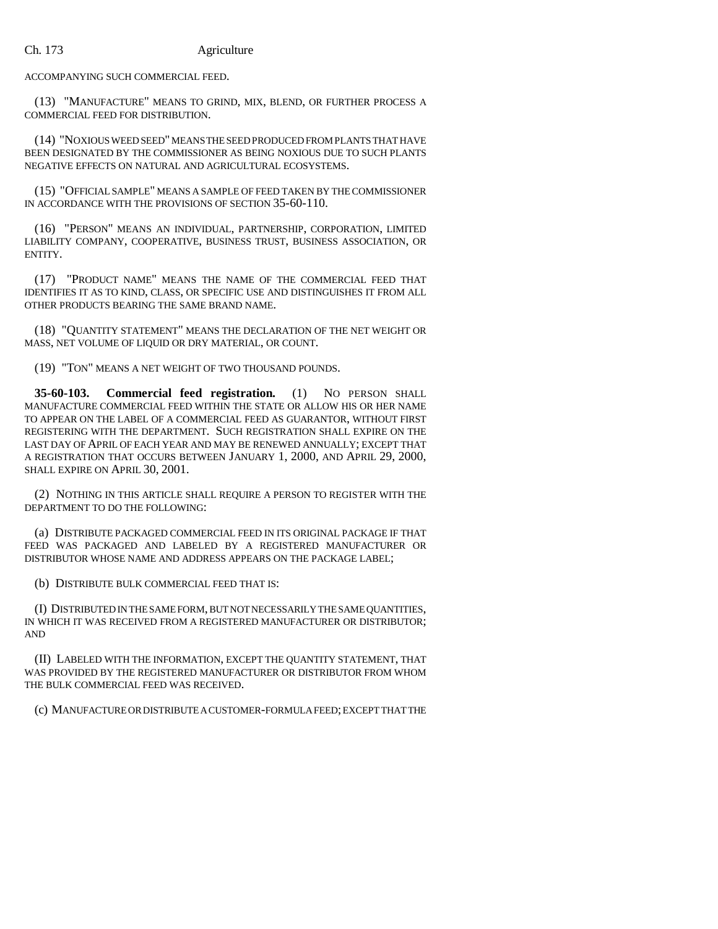ACCOMPANYING SUCH COMMERCIAL FEED.

(13) "MANUFACTURE" MEANS TO GRIND, MIX, BLEND, OR FURTHER PROCESS A COMMERCIAL FEED FOR DISTRIBUTION.

(14) "NOXIOUS WEED SEED" MEANS THE SEED PRODUCED FROM PLANTS THAT HAVE BEEN DESIGNATED BY THE COMMISSIONER AS BEING NOXIOUS DUE TO SUCH PLANTS NEGATIVE EFFECTS ON NATURAL AND AGRICULTURAL ECOSYSTEMS.

(15) "OFFICIAL SAMPLE" MEANS A SAMPLE OF FEED TAKEN BY THE COMMISSIONER IN ACCORDANCE WITH THE PROVISIONS OF SECTION 35-60-110.

(16) "PERSON" MEANS AN INDIVIDUAL, PARTNERSHIP, CORPORATION, LIMITED LIABILITY COMPANY, COOPERATIVE, BUSINESS TRUST, BUSINESS ASSOCIATION, OR ENTITY.

(17) "PRODUCT NAME" MEANS THE NAME OF THE COMMERCIAL FEED THAT IDENTIFIES IT AS TO KIND, CLASS, OR SPECIFIC USE AND DISTINGUISHES IT FROM ALL OTHER PRODUCTS BEARING THE SAME BRAND NAME.

(18) "QUANTITY STATEMENT" MEANS THE DECLARATION OF THE NET WEIGHT OR MASS, NET VOLUME OF LIQUID OR DRY MATERIAL, OR COUNT.

(19) "TON" MEANS A NET WEIGHT OF TWO THOUSAND POUNDS.

**35-60-103. Commercial feed registration.** (1) NO PERSON SHALL MANUFACTURE COMMERCIAL FEED WITHIN THE STATE OR ALLOW HIS OR HER NAME TO APPEAR ON THE LABEL OF A COMMERCIAL FEED AS GUARANTOR, WITHOUT FIRST REGISTERING WITH THE DEPARTMENT. SUCH REGISTRATION SHALL EXPIRE ON THE LAST DAY OF APRIL OF EACH YEAR AND MAY BE RENEWED ANNUALLY; EXCEPT THAT A REGISTRATION THAT OCCURS BETWEEN JANUARY 1, 2000, AND APRIL 29, 2000, SHALL EXPIRE ON APRIL 30, 2001.

(2) NOTHING IN THIS ARTICLE SHALL REQUIRE A PERSON TO REGISTER WITH THE DEPARTMENT TO DO THE FOLLOWING:

(a) DISTRIBUTE PACKAGED COMMERCIAL FEED IN ITS ORIGINAL PACKAGE IF THAT FEED WAS PACKAGED AND LABELED BY A REGISTERED MANUFACTURER OR DISTRIBUTOR WHOSE NAME AND ADDRESS APPEARS ON THE PACKAGE LABEL;

(b) DISTRIBUTE BULK COMMERCIAL FEED THAT IS:

(I) DISTRIBUTED IN THE SAME FORM, BUT NOT NECESSARILY THE SAME QUANTITIES, IN WHICH IT WAS RECEIVED FROM A REGISTERED MANUFACTURER OR DISTRIBUTOR; AND

(II) LABELED WITH THE INFORMATION, EXCEPT THE QUANTITY STATEMENT, THAT WAS PROVIDED BY THE REGISTERED MANUFACTURER OR DISTRIBUTOR FROM WHOM THE BULK COMMERCIAL FEED WAS RECEIVED.

(c) MANUFACTURE OR DISTRIBUTE A CUSTOMER-FORMULA FEED; EXCEPT THAT THE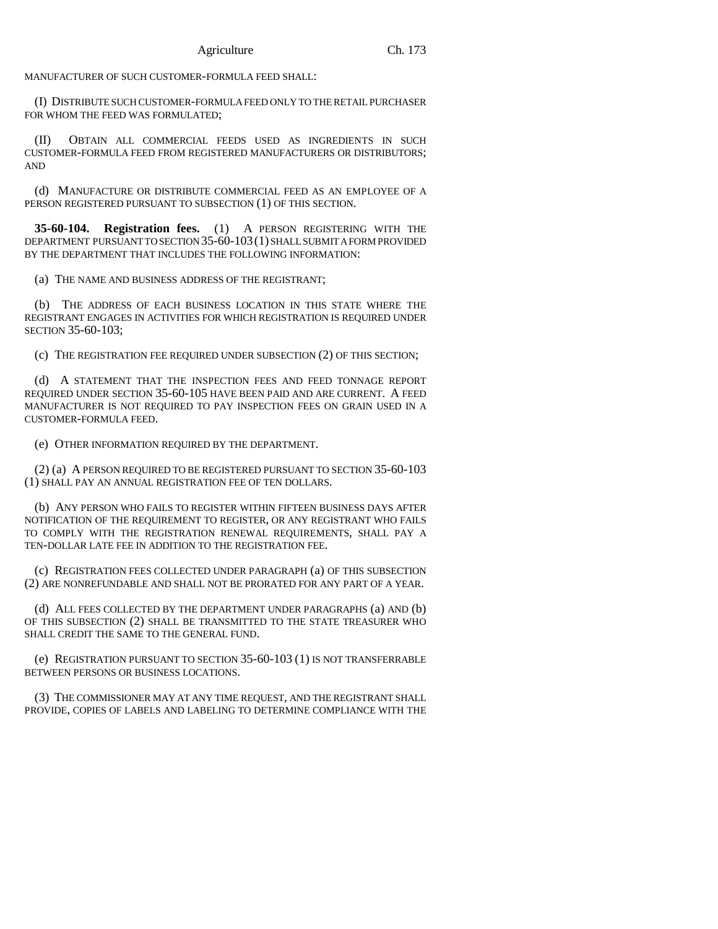MANUFACTURER OF SUCH CUSTOMER-FORMULA FEED SHALL:

(I) DISTRIBUTE SUCH CUSTOMER-FORMULA FEED ONLY TO THE RETAIL PURCHASER FOR WHOM THE FEED WAS FORMULATED;

(II) OBTAIN ALL COMMERCIAL FEEDS USED AS INGREDIENTS IN SUCH CUSTOMER-FORMULA FEED FROM REGISTERED MANUFACTURERS OR DISTRIBUTORS; AND

(d) MANUFACTURE OR DISTRIBUTE COMMERCIAL FEED AS AN EMPLOYEE OF A PERSON REGISTERED PURSUANT TO SUBSECTION (1) OF THIS SECTION.

**35-60-104. Registration fees.** (1) A PERSON REGISTERING WITH THE DEPARTMENT PURSUANT TO SECTION 35-60-103(1) SHALL SUBMIT A FORM PROVIDED BY THE DEPARTMENT THAT INCLUDES THE FOLLOWING INFORMATION:

(a) THE NAME AND BUSINESS ADDRESS OF THE REGISTRANT;

(b) THE ADDRESS OF EACH BUSINESS LOCATION IN THIS STATE WHERE THE REGISTRANT ENGAGES IN ACTIVITIES FOR WHICH REGISTRATION IS REQUIRED UNDER SECTION 35-60-103;

(c) THE REGISTRATION FEE REQUIRED UNDER SUBSECTION (2) OF THIS SECTION;

(d) A STATEMENT THAT THE INSPECTION FEES AND FEED TONNAGE REPORT REQUIRED UNDER SECTION 35-60-105 HAVE BEEN PAID AND ARE CURRENT. A FEED MANUFACTURER IS NOT REQUIRED TO PAY INSPECTION FEES ON GRAIN USED IN A CUSTOMER-FORMULA FEED.

(e) OTHER INFORMATION REQUIRED BY THE DEPARTMENT.

(2) (a) A PERSON REQUIRED TO BE REGISTERED PURSUANT TO SECTION 35-60-103 (1) SHALL PAY AN ANNUAL REGISTRATION FEE OF TEN DOLLARS.

(b) ANY PERSON WHO FAILS TO REGISTER WITHIN FIFTEEN BUSINESS DAYS AFTER NOTIFICATION OF THE REQUIREMENT TO REGISTER, OR ANY REGISTRANT WHO FAILS TO COMPLY WITH THE REGISTRATION RENEWAL REQUIREMENTS, SHALL PAY A TEN-DOLLAR LATE FEE IN ADDITION TO THE REGISTRATION FEE.

(c) REGISTRATION FEES COLLECTED UNDER PARAGRAPH (a) OF THIS SUBSECTION (2) ARE NONREFUNDABLE AND SHALL NOT BE PRORATED FOR ANY PART OF A YEAR.

(d) ALL FEES COLLECTED BY THE DEPARTMENT UNDER PARAGRAPHS (a) AND (b) OF THIS SUBSECTION (2) SHALL BE TRANSMITTED TO THE STATE TREASURER WHO SHALL CREDIT THE SAME TO THE GENERAL FUND.

(e) REGISTRATION PURSUANT TO SECTION 35-60-103 (1) IS NOT TRANSFERRABLE BETWEEN PERSONS OR BUSINESS LOCATIONS.

(3) THE COMMISSIONER MAY AT ANY TIME REQUEST, AND THE REGISTRANT SHALL PROVIDE, COPIES OF LABELS AND LABELING TO DETERMINE COMPLIANCE WITH THE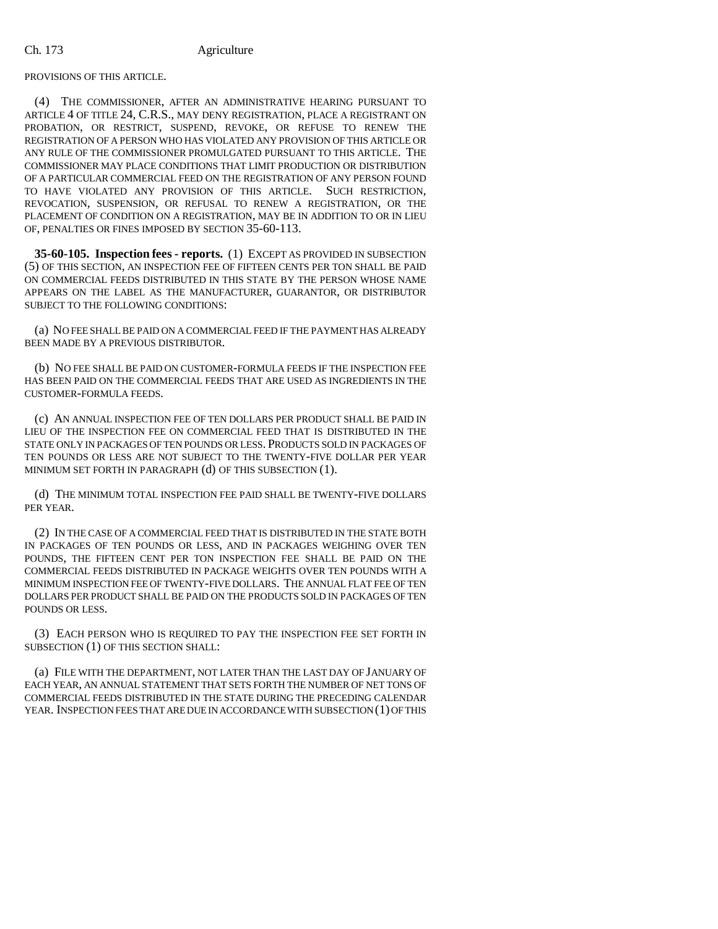PROVISIONS OF THIS ARTICLE.

(4) THE COMMISSIONER, AFTER AN ADMINISTRATIVE HEARING PURSUANT TO ARTICLE 4 OF TITLE 24, C.R.S., MAY DENY REGISTRATION, PLACE A REGISTRANT ON PROBATION, OR RESTRICT, SUSPEND, REVOKE, OR REFUSE TO RENEW THE REGISTRATION OF A PERSON WHO HAS VIOLATED ANY PROVISION OF THIS ARTICLE OR ANY RULE OF THE COMMISSIONER PROMULGATED PURSUANT TO THIS ARTICLE. THE COMMISSIONER MAY PLACE CONDITIONS THAT LIMIT PRODUCTION OR DISTRIBUTION OF A PARTICULAR COMMERCIAL FEED ON THE REGISTRATION OF ANY PERSON FOUND TO HAVE VIOLATED ANY PROVISION OF THIS ARTICLE. SUCH RESTRICTION, REVOCATION, SUSPENSION, OR REFUSAL TO RENEW A REGISTRATION, OR THE PLACEMENT OF CONDITION ON A REGISTRATION, MAY BE IN ADDITION TO OR IN LIEU OF, PENALTIES OR FINES IMPOSED BY SECTION 35-60-113.

**35-60-105. Inspection fees - reports.** (1) EXCEPT AS PROVIDED IN SUBSECTION (5) OF THIS SECTION, AN INSPECTION FEE OF FIFTEEN CENTS PER TON SHALL BE PAID ON COMMERCIAL FEEDS DISTRIBUTED IN THIS STATE BY THE PERSON WHOSE NAME APPEARS ON THE LABEL AS THE MANUFACTURER, GUARANTOR, OR DISTRIBUTOR SUBJECT TO THE FOLLOWING CONDITIONS:

(a) NO FEE SHALL BE PAID ON A COMMERCIAL FEED IF THE PAYMENT HAS ALREADY BEEN MADE BY A PREVIOUS DISTRIBUTOR.

(b) NO FEE SHALL BE PAID ON CUSTOMER-FORMULA FEEDS IF THE INSPECTION FEE HAS BEEN PAID ON THE COMMERCIAL FEEDS THAT ARE USED AS INGREDIENTS IN THE CUSTOMER-FORMULA FEEDS.

(c) AN ANNUAL INSPECTION FEE OF TEN DOLLARS PER PRODUCT SHALL BE PAID IN LIEU OF THE INSPECTION FEE ON COMMERCIAL FEED THAT IS DISTRIBUTED IN THE STATE ONLY IN PACKAGES OF TEN POUNDS OR LESS. PRODUCTS SOLD IN PACKAGES OF TEN POUNDS OR LESS ARE NOT SUBJECT TO THE TWENTY-FIVE DOLLAR PER YEAR MINIMUM SET FORTH IN PARAGRAPH (d) OF THIS SUBSECTION (1).

(d) THE MINIMUM TOTAL INSPECTION FEE PAID SHALL BE TWENTY-FIVE DOLLARS PER YEAR.

(2) IN THE CASE OF A COMMERCIAL FEED THAT IS DISTRIBUTED IN THE STATE BOTH IN PACKAGES OF TEN POUNDS OR LESS, AND IN PACKAGES WEIGHING OVER TEN POUNDS, THE FIFTEEN CENT PER TON INSPECTION FEE SHALL BE PAID ON THE COMMERCIAL FEEDS DISTRIBUTED IN PACKAGE WEIGHTS OVER TEN POUNDS WITH A MINIMUM INSPECTION FEE OF TWENTY-FIVE DOLLARS. THE ANNUAL FLAT FEE OF TEN DOLLARS PER PRODUCT SHALL BE PAID ON THE PRODUCTS SOLD IN PACKAGES OF TEN POUNDS OR LESS.

(3) EACH PERSON WHO IS REQUIRED TO PAY THE INSPECTION FEE SET FORTH IN SUBSECTION (1) OF THIS SECTION SHALL:

(a) FILE WITH THE DEPARTMENT, NOT LATER THAN THE LAST DAY OF JANUARY OF EACH YEAR, AN ANNUAL STATEMENT THAT SETS FORTH THE NUMBER OF NET TONS OF COMMERCIAL FEEDS DISTRIBUTED IN THE STATE DURING THE PRECEDING CALENDAR YEAR. INSPECTION FEES THAT ARE DUE IN ACCORDANCE WITH SUBSECTION (1) OF THIS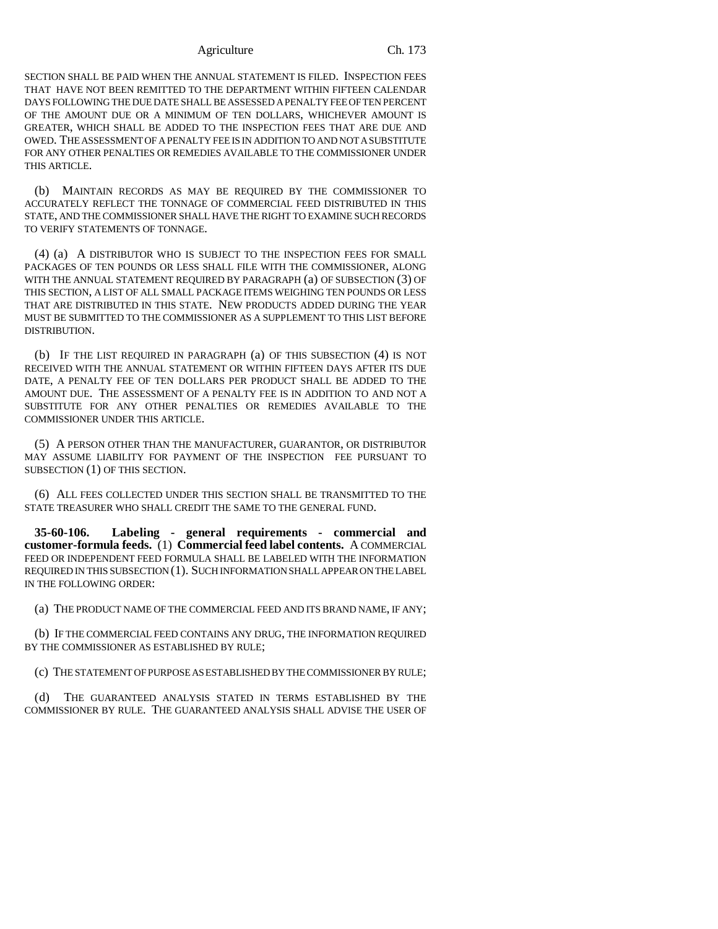SECTION SHALL BE PAID WHEN THE ANNUAL STATEMENT IS FILED. INSPECTION FEES THAT HAVE NOT BEEN REMITTED TO THE DEPARTMENT WITHIN FIFTEEN CALENDAR DAYS FOLLOWING THE DUE DATE SHALL BE ASSESSED A PENALTY FEE OF TEN PERCENT OF THE AMOUNT DUE OR A MINIMUM OF TEN DOLLARS, WHICHEVER AMOUNT IS GREATER, WHICH SHALL BE ADDED TO THE INSPECTION FEES THAT ARE DUE AND OWED. THE ASSESSMENT OF A PENALTY FEE IS IN ADDITION TO AND NOT A SUBSTITUTE FOR ANY OTHER PENALTIES OR REMEDIES AVAILABLE TO THE COMMISSIONER UNDER THIS ARTICLE.

(b) MAINTAIN RECORDS AS MAY BE REQUIRED BY THE COMMISSIONER TO ACCURATELY REFLECT THE TONNAGE OF COMMERCIAL FEED DISTRIBUTED IN THIS STATE, AND THE COMMISSIONER SHALL HAVE THE RIGHT TO EXAMINE SUCH RECORDS TO VERIFY STATEMENTS OF TONNAGE.

(4) (a) A DISTRIBUTOR WHO IS SUBJECT TO THE INSPECTION FEES FOR SMALL PACKAGES OF TEN POUNDS OR LESS SHALL FILE WITH THE COMMISSIONER, ALONG WITH THE ANNUAL STATEMENT REQUIRED BY PARAGRAPH (a) OF SUBSECTION (3) OF THIS SECTION, A LIST OF ALL SMALL PACKAGE ITEMS WEIGHING TEN POUNDS OR LESS THAT ARE DISTRIBUTED IN THIS STATE. NEW PRODUCTS ADDED DURING THE YEAR MUST BE SUBMITTED TO THE COMMISSIONER AS A SUPPLEMENT TO THIS LIST BEFORE DISTRIBUTION.

(b) IF THE LIST REQUIRED IN PARAGRAPH (a) OF THIS SUBSECTION (4) IS NOT RECEIVED WITH THE ANNUAL STATEMENT OR WITHIN FIFTEEN DAYS AFTER ITS DUE DATE, A PENALTY FEE OF TEN DOLLARS PER PRODUCT SHALL BE ADDED TO THE AMOUNT DUE. THE ASSESSMENT OF A PENALTY FEE IS IN ADDITION TO AND NOT A SUBSTITUTE FOR ANY OTHER PENALTIES OR REMEDIES AVAILABLE TO THE COMMISSIONER UNDER THIS ARTICLE.

(5) A PERSON OTHER THAN THE MANUFACTURER, GUARANTOR, OR DISTRIBUTOR MAY ASSUME LIABILITY FOR PAYMENT OF THE INSPECTION FEE PURSUANT TO SUBSECTION (1) OF THIS SECTION.

(6) ALL FEES COLLECTED UNDER THIS SECTION SHALL BE TRANSMITTED TO THE STATE TREASURER WHO SHALL CREDIT THE SAME TO THE GENERAL FUND.

**35-60-106. Labeling - general requirements - commercial and customer-formula feeds.** (1) **Commercial feed label contents.** A COMMERCIAL FEED OR INDEPENDENT FEED FORMULA SHALL BE LABELED WITH THE INFORMATION REQUIRED IN THIS SUBSECTION (1). SUCH INFORMATION SHALL APPEAR ON THE LABEL IN THE FOLLOWING ORDER:

(a) THE PRODUCT NAME OF THE COMMERCIAL FEED AND ITS BRAND NAME, IF ANY;

(b) IF THE COMMERCIAL FEED CONTAINS ANY DRUG, THE INFORMATION REQUIRED BY THE COMMISSIONER AS ESTABLISHED BY RULE;

(c) THE STATEMENT OF PURPOSE AS ESTABLISHED BY THE COMMISSIONER BY RULE;

(d) THE GUARANTEED ANALYSIS STATED IN TERMS ESTABLISHED BY THE COMMISSIONER BY RULE. THE GUARANTEED ANALYSIS SHALL ADVISE THE USER OF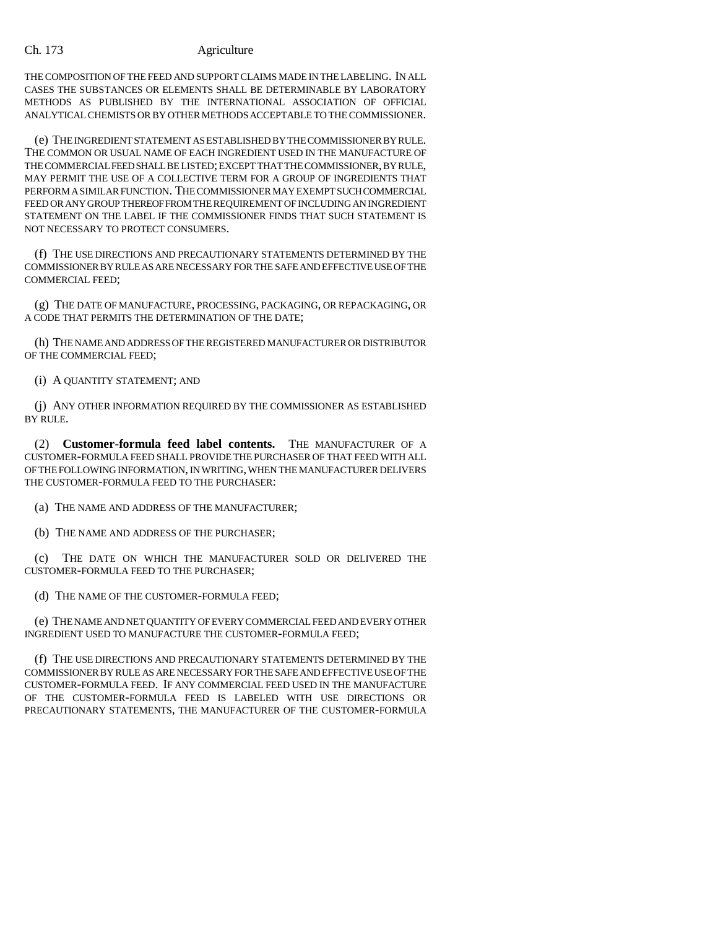THE COMPOSITION OF THE FEED AND SUPPORT CLAIMS MADE IN THE LABELING. IN ALL CASES THE SUBSTANCES OR ELEMENTS SHALL BE DETERMINABLE BY LABORATORY METHODS AS PUBLISHED BY THE INTERNATIONAL ASSOCIATION OF OFFICIAL ANALYTICAL CHEMISTS OR BY OTHER METHODS ACCEPTABLE TO THE COMMISSIONER.

(e) THE INGREDIENT STATEMENT AS ESTABLISHED BY THE COMMISSIONER BY RULE. THE COMMON OR USUAL NAME OF EACH INGREDIENT USED IN THE MANUFACTURE OF THE COMMERCIAL FEED SHALL BE LISTED; EXCEPT THAT THE COMMISSIONER, BY RULE, MAY PERMIT THE USE OF A COLLECTIVE TERM FOR A GROUP OF INGREDIENTS THAT PERFORM A SIMILAR FUNCTION. THE COMMISSIONER MAY EXEMPT SUCH COMMERCIAL FEED OR ANY GROUP THEREOF FROM THE REQUIREMENT OF INCLUDING AN INGREDIENT STATEMENT ON THE LABEL IF THE COMMISSIONER FINDS THAT SUCH STATEMENT IS NOT NECESSARY TO PROTECT CONSUMERS.

(f) THE USE DIRECTIONS AND PRECAUTIONARY STATEMENTS DETERMINED BY THE COMMISSIONER BY RULE AS ARE NECESSARY FOR THE SAFE AND EFFECTIVE USE OF THE COMMERCIAL FEED;

(g) THE DATE OF MANUFACTURE, PROCESSING, PACKAGING, OR REPACKAGING, OR A CODE THAT PERMITS THE DETERMINATION OF THE DATE;

(h) THE NAME AND ADDRESS OF THE REGISTERED MANUFACTURER OR DISTRIBUTOR OF THE COMMERCIAL FEED;

(i) A QUANTITY STATEMENT; AND

(j) ANY OTHER INFORMATION REQUIRED BY THE COMMISSIONER AS ESTABLISHED BY RULE.

(2) **Customer-formula feed label contents.** THE MANUFACTURER OF A CUSTOMER-FORMULA FEED SHALL PROVIDE THE PURCHASER OF THAT FEED WITH ALL OF THE FOLLOWING INFORMATION, IN WRITING, WHEN THE MANUFACTURER DELIVERS THE CUSTOMER-FORMULA FEED TO THE PURCHASER:

(a) THE NAME AND ADDRESS OF THE MANUFACTURER;

(b) THE NAME AND ADDRESS OF THE PURCHASER;

(c) THE DATE ON WHICH THE MANUFACTURER SOLD OR DELIVERED THE CUSTOMER-FORMULA FEED TO THE PURCHASER;

(d) THE NAME OF THE CUSTOMER-FORMULA FEED;

(e) THE NAME AND NET QUANTITY OF EVERY COMMERCIAL FEED AND EVERY OTHER INGREDIENT USED TO MANUFACTURE THE CUSTOMER-FORMULA FEED;

(f) THE USE DIRECTIONS AND PRECAUTIONARY STATEMENTS DETERMINED BY THE COMMISSIONER BY RULE AS ARE NECESSARY FOR THE SAFE AND EFFECTIVE USE OF THE CUSTOMER-FORMULA FEED. IF ANY COMMERCIAL FEED USED IN THE MANUFACTURE OF THE CUSTOMER-FORMULA FEED IS LABELED WITH USE DIRECTIONS OR PRECAUTIONARY STATEMENTS, THE MANUFACTURER OF THE CUSTOMER-FORMULA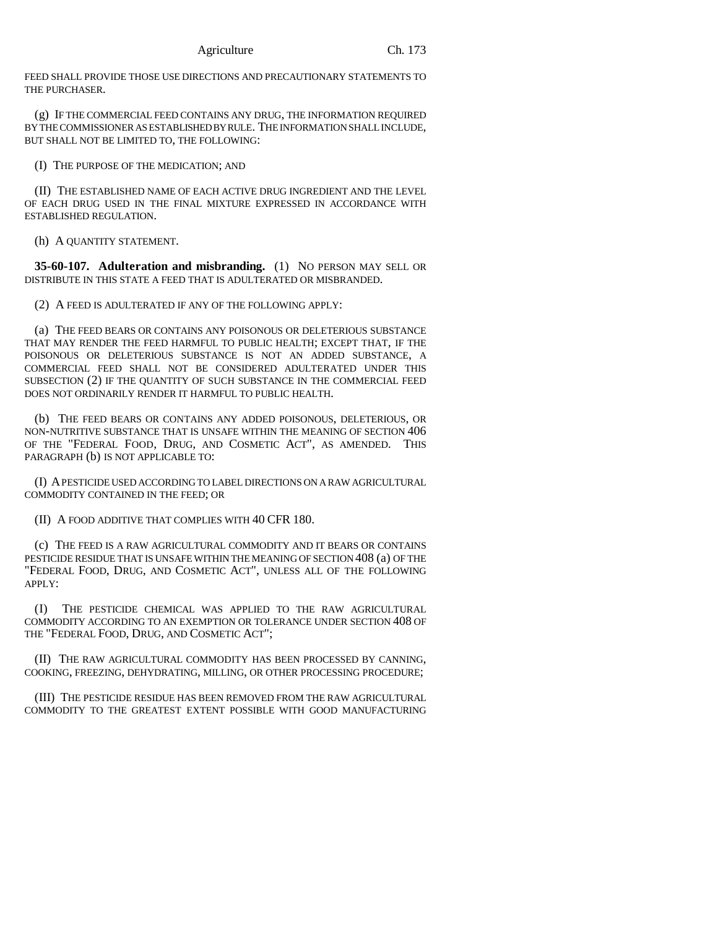FEED SHALL PROVIDE THOSE USE DIRECTIONS AND PRECAUTIONARY STATEMENTS TO THE PURCHASER.

(g) IF THE COMMERCIAL FEED CONTAINS ANY DRUG, THE INFORMATION REQUIRED BY THE COMMISSIONER AS ESTABLISHED BY RULE. THE INFORMATION SHALL INCLUDE, BUT SHALL NOT BE LIMITED TO, THE FOLLOWING:

(I) THE PURPOSE OF THE MEDICATION; AND

(II) THE ESTABLISHED NAME OF EACH ACTIVE DRUG INGREDIENT AND THE LEVEL OF EACH DRUG USED IN THE FINAL MIXTURE EXPRESSED IN ACCORDANCE WITH ESTABLISHED REGULATION.

(h) A QUANTITY STATEMENT.

**35-60-107. Adulteration and misbranding.** (1) NO PERSON MAY SELL OR DISTRIBUTE IN THIS STATE A FEED THAT IS ADULTERATED OR MISBRANDED.

(2) A FEED IS ADULTERATED IF ANY OF THE FOLLOWING APPLY:

(a) THE FEED BEARS OR CONTAINS ANY POISONOUS OR DELETERIOUS SUBSTANCE THAT MAY RENDER THE FEED HARMFUL TO PUBLIC HEALTH; EXCEPT THAT, IF THE POISONOUS OR DELETERIOUS SUBSTANCE IS NOT AN ADDED SUBSTANCE, A COMMERCIAL FEED SHALL NOT BE CONSIDERED ADULTERATED UNDER THIS SUBSECTION (2) IF THE QUANTITY OF SUCH SUBSTANCE IN THE COMMERCIAL FEED DOES NOT ORDINARILY RENDER IT HARMFUL TO PUBLIC HEALTH.

(b) THE FEED BEARS OR CONTAINS ANY ADDED POISONOUS, DELETERIOUS, OR NON-NUTRITIVE SUBSTANCE THAT IS UNSAFE WITHIN THE MEANING OF SECTION 406 OF THE "FEDERAL FOOD, DRUG, AND COSMETIC ACT", AS AMENDED. THIS PARAGRAPH (b) IS NOT APPLICABLE TO:

(I) A PESTICIDE USED ACCORDING TO LABEL DIRECTIONS ON A RAW AGRICULTURAL COMMODITY CONTAINED IN THE FEED; OR

(II) A FOOD ADDITIVE THAT COMPLIES WITH 40 CFR 180.

(c) THE FEED IS A RAW AGRICULTURAL COMMODITY AND IT BEARS OR CONTAINS PESTICIDE RESIDUE THAT IS UNSAFE WITHIN THE MEANING OF SECTION 408 (a) OF THE "FEDERAL FOOD, DRUG, AND COSMETIC ACT", UNLESS ALL OF THE FOLLOWING APPLY:

(I) THE PESTICIDE CHEMICAL WAS APPLIED TO THE RAW AGRICULTURAL COMMODITY ACCORDING TO AN EXEMPTION OR TOLERANCE UNDER SECTION 408 OF THE "FEDERAL FOOD, DRUG, AND COSMETIC ACT";

(II) THE RAW AGRICULTURAL COMMODITY HAS BEEN PROCESSED BY CANNING, COOKING, FREEZING, DEHYDRATING, MILLING, OR OTHER PROCESSING PROCEDURE;

(III) THE PESTICIDE RESIDUE HAS BEEN REMOVED FROM THE RAW AGRICULTURAL COMMODITY TO THE GREATEST EXTENT POSSIBLE WITH GOOD MANUFACTURING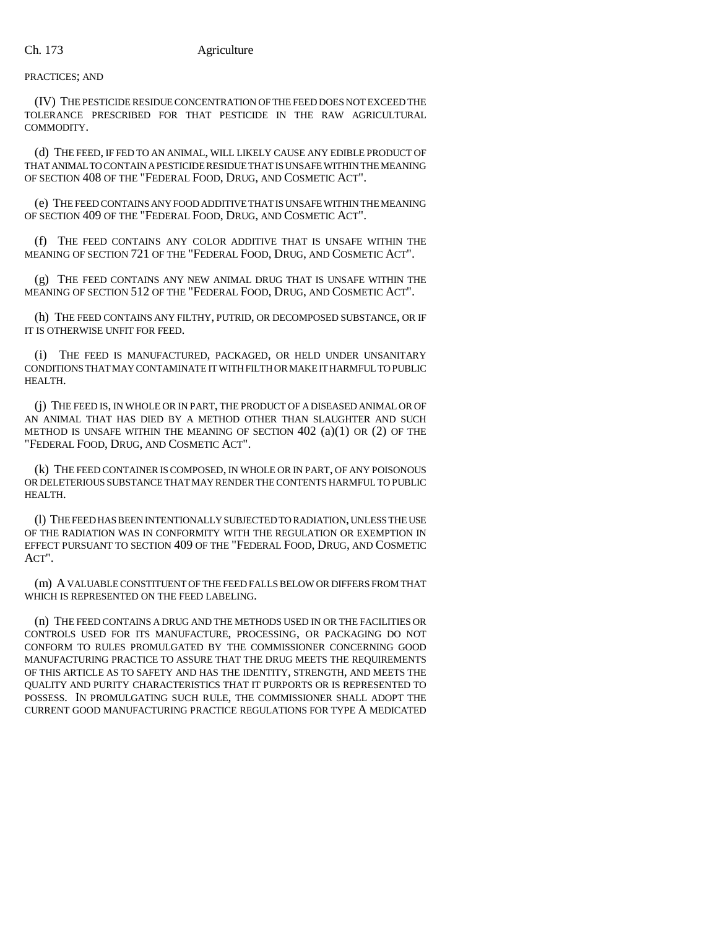## PRACTICES; AND

(IV) THE PESTICIDE RESIDUE CONCENTRATION OF THE FEED DOES NOT EXCEED THE TOLERANCE PRESCRIBED FOR THAT PESTICIDE IN THE RAW AGRICULTURAL COMMODITY.

(d) THE FEED, IF FED TO AN ANIMAL, WILL LIKELY CAUSE ANY EDIBLE PRODUCT OF THAT ANIMAL TO CONTAIN A PESTICIDE RESIDUE THAT IS UNSAFE WITHIN THE MEANING OF SECTION 408 OF THE "FEDERAL FOOD, DRUG, AND COSMETIC ACT".

(e) THE FEED CONTAINS ANY FOOD ADDITIVE THAT IS UNSAFE WITHIN THE MEANING OF SECTION 409 OF THE "FEDERAL FOOD, DRUG, AND COSMETIC ACT".

(f) THE FEED CONTAINS ANY COLOR ADDITIVE THAT IS UNSAFE WITHIN THE MEANING OF SECTION 721 OF THE "FEDERAL FOOD, DRUG, AND COSMETIC ACT".

(g) THE FEED CONTAINS ANY NEW ANIMAL DRUG THAT IS UNSAFE WITHIN THE MEANING OF SECTION 512 OF THE "FEDERAL FOOD, DRUG, AND COSMETIC ACT".

(h) THE FEED CONTAINS ANY FILTHY, PUTRID, OR DECOMPOSED SUBSTANCE, OR IF IT IS OTHERWISE UNFIT FOR FEED.

(i) THE FEED IS MANUFACTURED, PACKAGED, OR HELD UNDER UNSANITARY CONDITIONS THAT MAY CONTAMINATE IT WITH FILTH OR MAKE IT HARMFUL TO PUBLIC HEALTH.

(j) THE FEED IS, IN WHOLE OR IN PART, THE PRODUCT OF A DISEASED ANIMAL OR OF AN ANIMAL THAT HAS DIED BY A METHOD OTHER THAN SLAUGHTER AND SUCH METHOD IS UNSAFE WITHIN THE MEANING OF SECTION  $402$   $(a)(1)$  OR  $(2)$  OF THE "FEDERAL FOOD, DRUG, AND COSMETIC ACT".

(k) THE FEED CONTAINER IS COMPOSED, IN WHOLE OR IN PART, OF ANY POISONOUS OR DELETERIOUS SUBSTANCE THAT MAY RENDER THE CONTENTS HARMFUL TO PUBLIC HEALTH.

(l) THE FEED HAS BEEN INTENTIONALLY SUBJECTED TO RADIATION, UNLESS THE USE OF THE RADIATION WAS IN CONFORMITY WITH THE REGULATION OR EXEMPTION IN EFFECT PURSUANT TO SECTION 409 OF THE "FEDERAL FOOD, DRUG, AND COSMETIC ACT".

(m) A VALUABLE CONSTITUENT OF THE FEED FALLS BELOW OR DIFFERS FROM THAT WHICH IS REPRESENTED ON THE FEED LABELING.

(n) THE FEED CONTAINS A DRUG AND THE METHODS USED IN OR THE FACILITIES OR CONTROLS USED FOR ITS MANUFACTURE, PROCESSING, OR PACKAGING DO NOT CONFORM TO RULES PROMULGATED BY THE COMMISSIONER CONCERNING GOOD MANUFACTURING PRACTICE TO ASSURE THAT THE DRUG MEETS THE REQUIREMENTS OF THIS ARTICLE AS TO SAFETY AND HAS THE IDENTITY, STRENGTH, AND MEETS THE QUALITY AND PURITY CHARACTERISTICS THAT IT PURPORTS OR IS REPRESENTED TO POSSESS. IN PROMULGATING SUCH RULE, THE COMMISSIONER SHALL ADOPT THE CURRENT GOOD MANUFACTURING PRACTICE REGULATIONS FOR TYPE A MEDICATED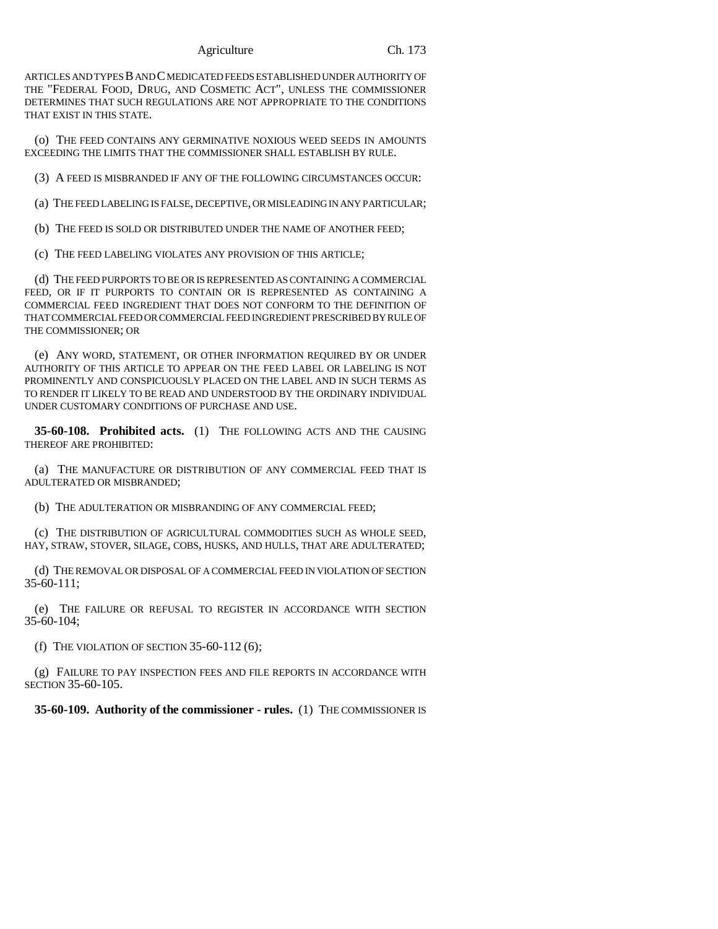ARTICLES AND TYPES B AND C MEDICATED FEEDS ESTABLISHED UNDER AUTHORITY OF THE "FEDERAL FOOD, DRUG, AND COSMETIC ACT", UNLESS THE COMMISSIONER DETERMINES THAT SUCH REGULATIONS ARE NOT APPROPRIATE TO THE CONDITIONS THAT EXIST IN THIS STATE.

(o) THE FEED CONTAINS ANY GERMINATIVE NOXIOUS WEED SEEDS IN AMOUNTS EXCEEDING THE LIMITS THAT THE COMMISSIONER SHALL ESTABLISH BY RULE.

(3) A FEED IS MISBRANDED IF ANY OF THE FOLLOWING CIRCUMSTANCES OCCUR:

(a) THE FEED LABELING IS FALSE, DECEPTIVE, OR MISLEADING IN ANY PARTICULAR;

(b) THE FEED IS SOLD OR DISTRIBUTED UNDER THE NAME OF ANOTHER FEED;

(c) THE FEED LABELING VIOLATES ANY PROVISION OF THIS ARTICLE;

(d) THE FEED PURPORTS TO BE OR IS REPRESENTED AS CONTAINING A COMMERCIAL FEED, OR IF IT PURPORTS TO CONTAIN OR IS REPRESENTED AS CONTAINING A COMMERCIAL FEED INGREDIENT THAT DOES NOT CONFORM TO THE DEFINITION OF THAT COMMERCIAL FEED OR COMMERCIAL FEED INGREDIENT PRESCRIBED BY RULE OF THE COMMISSIONER; OR

(e) ANY WORD, STATEMENT, OR OTHER INFORMATION REQUIRED BY OR UNDER AUTHORITY OF THIS ARTICLE TO APPEAR ON THE FEED LABEL OR LABELING IS NOT PROMINENTLY AND CONSPICUOUSLY PLACED ON THE LABEL AND IN SUCH TERMS AS TO RENDER IT LIKELY TO BE READ AND UNDERSTOOD BY THE ORDINARY INDIVIDUAL UNDER CUSTOMARY CONDITIONS OF PURCHASE AND USE.

**35-60-108. Prohibited acts.** (1) THE FOLLOWING ACTS AND THE CAUSING THEREOF ARE PROHIBITED:

(a) THE MANUFACTURE OR DISTRIBUTION OF ANY COMMERCIAL FEED THAT IS ADULTERATED OR MISBRANDED;

(b) THE ADULTERATION OR MISBRANDING OF ANY COMMERCIAL FEED;

(c) THE DISTRIBUTION OF AGRICULTURAL COMMODITIES SUCH AS WHOLE SEED, HAY, STRAW, STOVER, SILAGE, COBS, HUSKS, AND HULLS, THAT ARE ADULTERATED;

(d) THE REMOVAL OR DISPOSAL OF A COMMERCIAL FEED IN VIOLATION OF SECTION 35-60-111;

(e) THE FAILURE OR REFUSAL TO REGISTER IN ACCORDANCE WITH SECTION 35-60-104;

(f) THE VIOLATION OF SECTION  $35-60-112(6)$ ;

(g) FAILURE TO PAY INSPECTION FEES AND FILE REPORTS IN ACCORDANCE WITH SECTION 35-60-105.

**35-60-109. Authority of the commissioner - rules.** (1) THE COMMISSIONER IS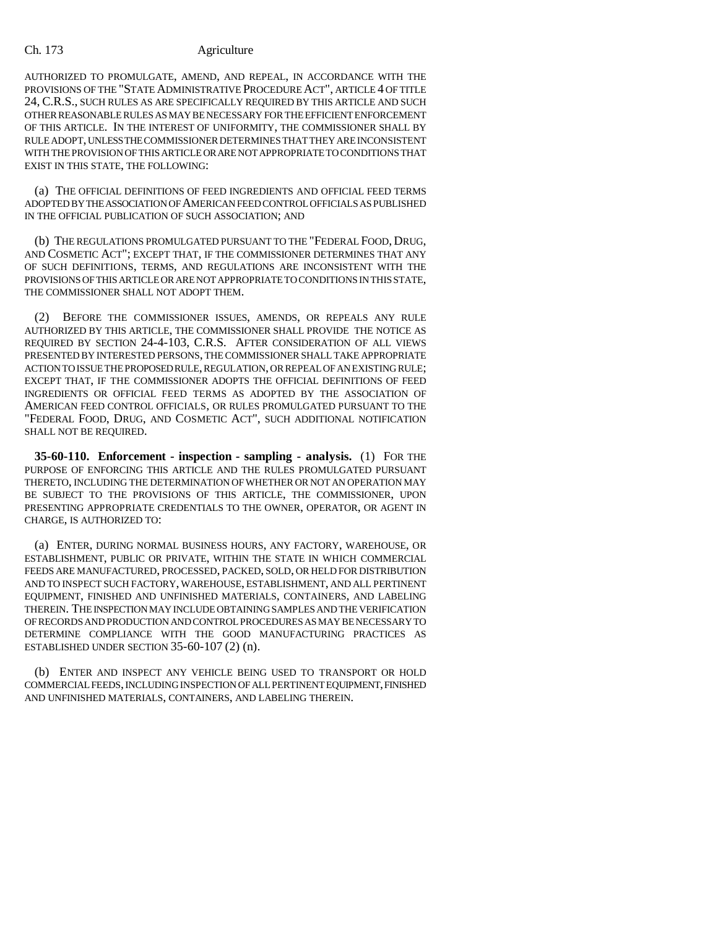AUTHORIZED TO PROMULGATE, AMEND, AND REPEAL, IN ACCORDANCE WITH THE PROVISIONS OF THE "STATE ADMINISTRATIVE PROCEDURE ACT", ARTICLE 4 OF TITLE 24, C.R.S., SUCH RULES AS ARE SPECIFICALLY REQUIRED BY THIS ARTICLE AND SUCH OTHER REASONABLE RULES AS MAY BE NECESSARY FOR THE EFFICIENT ENFORCEMENT OF THIS ARTICLE. IN THE INTEREST OF UNIFORMITY, THE COMMISSIONER SHALL BY RULE ADOPT, UNLESS THE COMMISSIONER DETERMINES THAT THEY ARE INCONSISTENT WITH THE PROVISION OF THIS ARTICLE OR ARE NOT APPROPRIATE TO CONDITIONS THAT EXIST IN THIS STATE, THE FOLLOWING:

(a) THE OFFICIAL DEFINITIONS OF FEED INGREDIENTS AND OFFICIAL FEED TERMS ADOPTED BY THE ASSOCIATION OF AMERICAN FEED CONTROL OFFICIALS AS PUBLISHED IN THE OFFICIAL PUBLICATION OF SUCH ASSOCIATION; AND

(b) THE REGULATIONS PROMULGATED PURSUANT TO THE "FEDERAL FOOD, DRUG, AND COSMETIC ACT"; EXCEPT THAT, IF THE COMMISSIONER DETERMINES THAT ANY OF SUCH DEFINITIONS, TERMS, AND REGULATIONS ARE INCONSISTENT WITH THE PROVISIONS OF THIS ARTICLE OR ARE NOT APPROPRIATE TO CONDITIONS IN THIS STATE, THE COMMISSIONER SHALL NOT ADOPT THEM.

(2) BEFORE THE COMMISSIONER ISSUES, AMENDS, OR REPEALS ANY RULE AUTHORIZED BY THIS ARTICLE, THE COMMISSIONER SHALL PROVIDE THE NOTICE AS REQUIRED BY SECTION 24-4-103, C.R.S. AFTER CONSIDERATION OF ALL VIEWS PRESENTED BY INTERESTED PERSONS, THE COMMISSIONER SHALL TAKE APPROPRIATE ACTION TO ISSUE THE PROPOSED RULE, REGULATION, OR REPEAL OF AN EXISTING RULE; EXCEPT THAT, IF THE COMMISSIONER ADOPTS THE OFFICIAL DEFINITIONS OF FEED INGREDIENTS OR OFFICIAL FEED TERMS AS ADOPTED BY THE ASSOCIATION OF AMERICAN FEED CONTROL OFFICIALS, OR RULES PROMULGATED PURSUANT TO THE "FEDERAL FOOD, DRUG, AND COSMETIC ACT", SUCH ADDITIONAL NOTIFICATION SHALL NOT BE REQUIRED.

**35-60-110. Enforcement - inspection - sampling - analysis.** (1) FOR THE PURPOSE OF ENFORCING THIS ARTICLE AND THE RULES PROMULGATED PURSUANT THERETO, INCLUDING THE DETERMINATION OF WHETHER OR NOT AN OPERATION MAY BE SUBJECT TO THE PROVISIONS OF THIS ARTICLE, THE COMMISSIONER, UPON PRESENTING APPROPRIATE CREDENTIALS TO THE OWNER, OPERATOR, OR AGENT IN CHARGE, IS AUTHORIZED TO:

(a) ENTER, DURING NORMAL BUSINESS HOURS, ANY FACTORY, WAREHOUSE, OR ESTABLISHMENT, PUBLIC OR PRIVATE, WITHIN THE STATE IN WHICH COMMERCIAL FEEDS ARE MANUFACTURED, PROCESSED, PACKED, SOLD, OR HELD FOR DISTRIBUTION AND TO INSPECT SUCH FACTORY, WAREHOUSE, ESTABLISHMENT, AND ALL PERTINENT EQUIPMENT, FINISHED AND UNFINISHED MATERIALS, CONTAINERS, AND LABELING THEREIN. THE INSPECTION MAY INCLUDE OBTAINING SAMPLES AND THE VERIFICATION OF RECORDS AND PRODUCTION AND CONTROL PROCEDURES AS MAY BE NECESSARY TO DETERMINE COMPLIANCE WITH THE GOOD MANUFACTURING PRACTICES AS ESTABLISHED UNDER SECTION 35-60-107 (2) (n).

(b) ENTER AND INSPECT ANY VEHICLE BEING USED TO TRANSPORT OR HOLD COMMERCIAL FEEDS, INCLUDING INSPECTION OF ALL PERTINENT EQUIPMENT, FINISHED AND UNFINISHED MATERIALS, CONTAINERS, AND LABELING THEREIN.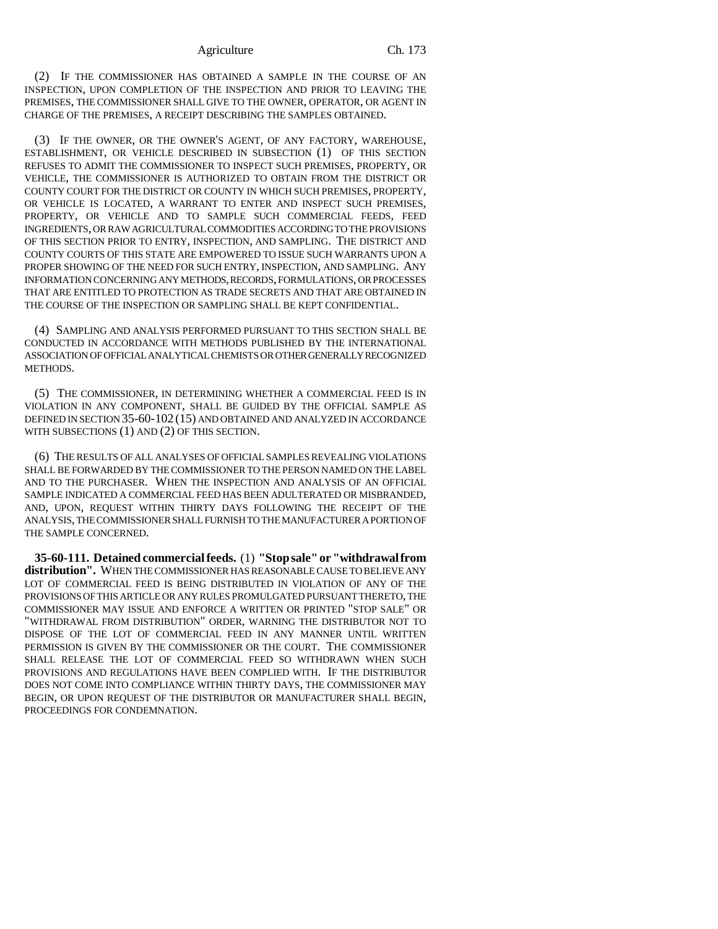(2) IF THE COMMISSIONER HAS OBTAINED A SAMPLE IN THE COURSE OF AN INSPECTION, UPON COMPLETION OF THE INSPECTION AND PRIOR TO LEAVING THE PREMISES, THE COMMISSIONER SHALL GIVE TO THE OWNER, OPERATOR, OR AGENT IN CHARGE OF THE PREMISES, A RECEIPT DESCRIBING THE SAMPLES OBTAINED.

(3) IF THE OWNER, OR THE OWNER'S AGENT, OF ANY FACTORY, WAREHOUSE, ESTABLISHMENT, OR VEHICLE DESCRIBED IN SUBSECTION (1) OF THIS SECTION REFUSES TO ADMIT THE COMMISSIONER TO INSPECT SUCH PREMISES, PROPERTY, OR VEHICLE, THE COMMISSIONER IS AUTHORIZED TO OBTAIN FROM THE DISTRICT OR COUNTY COURT FOR THE DISTRICT OR COUNTY IN WHICH SUCH PREMISES, PROPERTY, OR VEHICLE IS LOCATED, A WARRANT TO ENTER AND INSPECT SUCH PREMISES, PROPERTY, OR VEHICLE AND TO SAMPLE SUCH COMMERCIAL FEEDS, FEED INGREDIENTS, OR RAW AGRICULTURAL COMMODITIES ACCORDING TO THE PROVISIONS OF THIS SECTION PRIOR TO ENTRY, INSPECTION, AND SAMPLING. THE DISTRICT AND COUNTY COURTS OF THIS STATE ARE EMPOWERED TO ISSUE SUCH WARRANTS UPON A PROPER SHOWING OF THE NEED FOR SUCH ENTRY, INSPECTION, AND SAMPLING. ANY INFORMATION CONCERNING ANY METHODS, RECORDS, FORMULATIONS, OR PROCESSES THAT ARE ENTITLED TO PROTECTION AS TRADE SECRETS AND THAT ARE OBTAINED IN THE COURSE OF THE INSPECTION OR SAMPLING SHALL BE KEPT CONFIDENTIAL.

(4) SAMPLING AND ANALYSIS PERFORMED PURSUANT TO THIS SECTION SHALL BE CONDUCTED IN ACCORDANCE WITH METHODS PUBLISHED BY THE INTERNATIONAL ASSOCIATION OF OFFICIAL ANALYTICAL CHEMISTS OR OTHER GENERALLY RECOGNIZED METHODS.

(5) THE COMMISSIONER, IN DETERMINING WHETHER A COMMERCIAL FEED IS IN VIOLATION IN ANY COMPONENT, SHALL BE GUIDED BY THE OFFICIAL SAMPLE AS DEFINED IN SECTION 35-60-102 (15) AND OBTAINED AND ANALYZED IN ACCORDANCE WITH SUBSECTIONS (1) AND (2) OF THIS SECTION.

(6) THE RESULTS OF ALL ANALYSES OF OFFICIAL SAMPLES REVEALING VIOLATIONS SHALL BE FORWARDED BY THE COMMISSIONER TO THE PERSON NAMED ON THE LABEL AND TO THE PURCHASER. WHEN THE INSPECTION AND ANALYSIS OF AN OFFICIAL SAMPLE INDICATED A COMMERCIAL FEED HAS BEEN ADULTERATED OR MISBRANDED, AND, UPON, REQUEST WITHIN THIRTY DAYS FOLLOWING THE RECEIPT OF THE ANALYSIS, THE COMMISSIONER SHALL FURNISH TO THE MANUFACTURER A PORTION OF THE SAMPLE CONCERNED.

**35-60-111. Detained commercial feeds.** (1) **"Stop sale" or "withdrawal from distribution".** WHEN THE COMMISSIONER HAS REASONABLE CAUSE TO BELIEVE ANY LOT OF COMMERCIAL FEED IS BEING DISTRIBUTED IN VIOLATION OF ANY OF THE PROVISIONS OF THIS ARTICLE OR ANY RULES PROMULGATED PURSUANT THERETO, THE COMMISSIONER MAY ISSUE AND ENFORCE A WRITTEN OR PRINTED "STOP SALE" OR "WITHDRAWAL FROM DISTRIBUTION" ORDER, WARNING THE DISTRIBUTOR NOT TO DISPOSE OF THE LOT OF COMMERCIAL FEED IN ANY MANNER UNTIL WRITTEN PERMISSION IS GIVEN BY THE COMMISSIONER OR THE COURT. THE COMMISSIONER SHALL RELEASE THE LOT OF COMMERCIAL FEED SO WITHDRAWN WHEN SUCH PROVISIONS AND REGULATIONS HAVE BEEN COMPLIED WITH. IF THE DISTRIBUTOR DOES NOT COME INTO COMPLIANCE WITHIN THIRTY DAYS, THE COMMISSIONER MAY BEGIN, OR UPON REQUEST OF THE DISTRIBUTOR OR MANUFACTURER SHALL BEGIN, PROCEEDINGS FOR CONDEMNATION.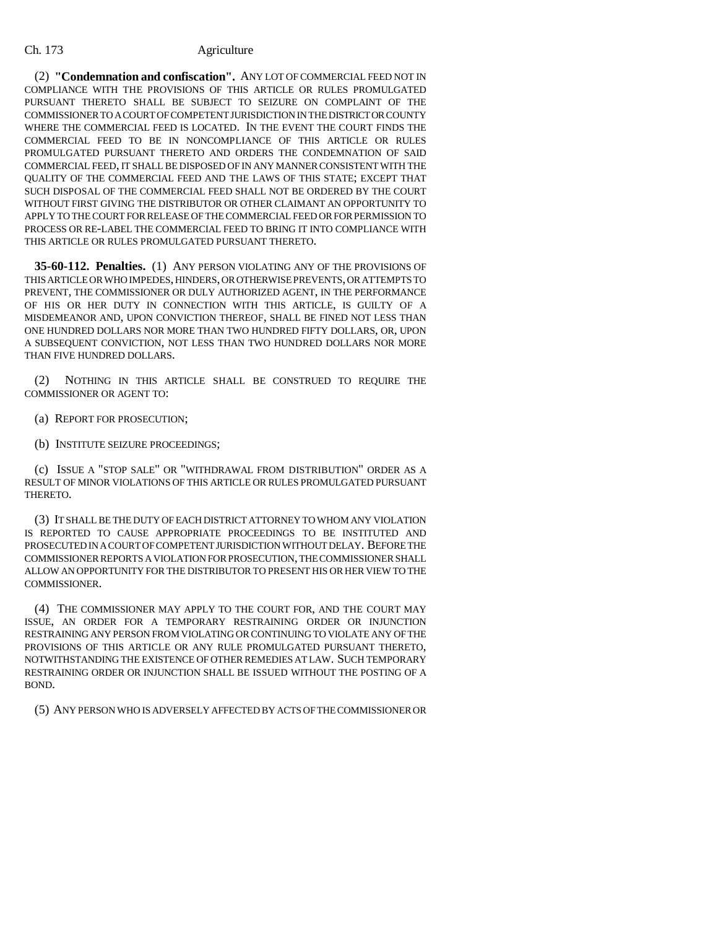(2) **"Condemnation and confiscation".** ANY LOT OF COMMERCIAL FEED NOT IN COMPLIANCE WITH THE PROVISIONS OF THIS ARTICLE OR RULES PROMULGATED PURSUANT THERETO SHALL BE SUBJECT TO SEIZURE ON COMPLAINT OF THE COMMISSIONER TO A COURT OF COMPETENT JURISDICTION IN THE DISTRICT OR COUNTY WHERE THE COMMERCIAL FEED IS LOCATED. IN THE EVENT THE COURT FINDS THE COMMERCIAL FEED TO BE IN NONCOMPLIANCE OF THIS ARTICLE OR RULES PROMULGATED PURSUANT THERETO AND ORDERS THE CONDEMNATION OF SAID COMMERCIAL FEED, IT SHALL BE DISPOSED OF IN ANY MANNER CONSISTENT WITH THE QUALITY OF THE COMMERCIAL FEED AND THE LAWS OF THIS STATE; EXCEPT THAT SUCH DISPOSAL OF THE COMMERCIAL FEED SHALL NOT BE ORDERED BY THE COURT WITHOUT FIRST GIVING THE DISTRIBUTOR OR OTHER CLAIMANT AN OPPORTUNITY TO APPLY TO THE COURT FOR RELEASE OF THE COMMERCIAL FEED OR FOR PERMISSION TO PROCESS OR RE-LABEL THE COMMERCIAL FEED TO BRING IT INTO COMPLIANCE WITH THIS ARTICLE OR RULES PROMULGATED PURSUANT THERETO.

**35-60-112. Penalties.** (1) ANY PERSON VIOLATING ANY OF THE PROVISIONS OF THIS ARTICLE OR WHO IMPEDES, HINDERS, OR OTHERWISE PREVENTS, OR ATTEMPTS TO PREVENT, THE COMMISSIONER OR DULY AUTHORIZED AGENT, IN THE PERFORMANCE OF HIS OR HER DUTY IN CONNECTION WITH THIS ARTICLE, IS GUILTY OF A MISDEMEANOR AND, UPON CONVICTION THEREOF, SHALL BE FINED NOT LESS THAN ONE HUNDRED DOLLARS NOR MORE THAN TWO HUNDRED FIFTY DOLLARS, OR, UPON A SUBSEQUENT CONVICTION, NOT LESS THAN TWO HUNDRED DOLLARS NOR MORE THAN FIVE HUNDRED DOLLARS.

(2) NOTHING IN THIS ARTICLE SHALL BE CONSTRUED TO REQUIRE THE COMMISSIONER OR AGENT TO:

- (a) REPORT FOR PROSECUTION;
- (b) INSTITUTE SEIZURE PROCEEDINGS;

(c) ISSUE A "STOP SALE" OR "WITHDRAWAL FROM DISTRIBUTION" ORDER AS A RESULT OF MINOR VIOLATIONS OF THIS ARTICLE OR RULES PROMULGATED PURSUANT THERETO.

(3) IT SHALL BE THE DUTY OF EACH DISTRICT ATTORNEY TO WHOM ANY VIOLATION IS REPORTED TO CAUSE APPROPRIATE PROCEEDINGS TO BE INSTITUTED AND PROSECUTED IN A COURT OF COMPETENT JURISDICTION WITHOUT DELAY. BEFORE THE COMMISSIONER REPORTS A VIOLATION FOR PROSECUTION, THE COMMISSIONER SHALL ALLOW AN OPPORTUNITY FOR THE DISTRIBUTOR TO PRESENT HIS OR HER VIEW TO THE COMMISSIONER.

(4) THE COMMISSIONER MAY APPLY TO THE COURT FOR, AND THE COURT MAY ISSUE, AN ORDER FOR A TEMPORARY RESTRAINING ORDER OR INJUNCTION RESTRAINING ANY PERSON FROM VIOLATING OR CONTINUING TO VIOLATE ANY OF THE PROVISIONS OF THIS ARTICLE OR ANY RULE PROMULGATED PURSUANT THERETO, NOTWITHSTANDING THE EXISTENCE OF OTHER REMEDIES AT LAW. SUCH TEMPORARY RESTRAINING ORDER OR INJUNCTION SHALL BE ISSUED WITHOUT THE POSTING OF A BOND.

(5) ANY PERSON WHO IS ADVERSELY AFFECTED BY ACTS OF THE COMMISSIONER OR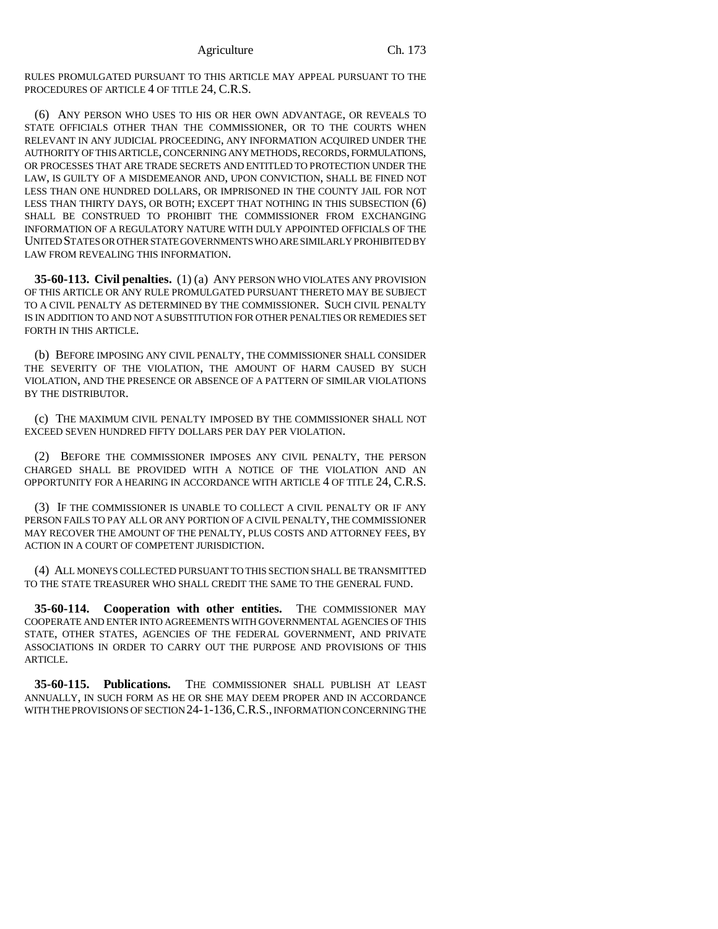RULES PROMULGATED PURSUANT TO THIS ARTICLE MAY APPEAL PURSUANT TO THE PROCEDURES OF ARTICLE 4 OF TITLE 24, C.R.S.

(6) ANY PERSON WHO USES TO HIS OR HER OWN ADVANTAGE, OR REVEALS TO STATE OFFICIALS OTHER THAN THE COMMISSIONER, OR TO THE COURTS WHEN RELEVANT IN ANY JUDICIAL PROCEEDING, ANY INFORMATION ACQUIRED UNDER THE AUTHORITY OF THIS ARTICLE, CONCERNING ANY METHODS, RECORDS, FORMULATIONS, OR PROCESSES THAT ARE TRADE SECRETS AND ENTITLED TO PROTECTION UNDER THE LAW, IS GUILTY OF A MISDEMEANOR AND, UPON CONVICTION, SHALL BE FINED NOT LESS THAN ONE HUNDRED DOLLARS, OR IMPRISONED IN THE COUNTY JAIL FOR NOT LESS THAN THIRTY DAYS, OR BOTH; EXCEPT THAT NOTHING IN THIS SUBSECTION (6) SHALL BE CONSTRUED TO PROHIBIT THE COMMISSIONER FROM EXCHANGING INFORMATION OF A REGULATORY NATURE WITH DULY APPOINTED OFFICIALS OF THE UNITED STATES OR OTHER STATE GOVERNMENTS WHO ARE SIMILARLY PROHIBITED BY LAW FROM REVEALING THIS INFORMATION.

**35-60-113. Civil penalties.** (1) (a) ANY PERSON WHO VIOLATES ANY PROVISION OF THIS ARTICLE OR ANY RULE PROMULGATED PURSUANT THERETO MAY BE SUBJECT TO A CIVIL PENALTY AS DETERMINED BY THE COMMISSIONER. SUCH CIVIL PENALTY IS IN ADDITION TO AND NOT A SUBSTITUTION FOR OTHER PENALTIES OR REMEDIES SET FORTH IN THIS ARTICLE.

(b) BEFORE IMPOSING ANY CIVIL PENALTY, THE COMMISSIONER SHALL CONSIDER THE SEVERITY OF THE VIOLATION, THE AMOUNT OF HARM CAUSED BY SUCH VIOLATION, AND THE PRESENCE OR ABSENCE OF A PATTERN OF SIMILAR VIOLATIONS BY THE DISTRIBUTOR.

(c) THE MAXIMUM CIVIL PENALTY IMPOSED BY THE COMMISSIONER SHALL NOT EXCEED SEVEN HUNDRED FIFTY DOLLARS PER DAY PER VIOLATION.

(2) BEFORE THE COMMISSIONER IMPOSES ANY CIVIL PENALTY, THE PERSON CHARGED SHALL BE PROVIDED WITH A NOTICE OF THE VIOLATION AND AN OPPORTUNITY FOR A HEARING IN ACCORDANCE WITH ARTICLE 4 OF TITLE 24, C.R.S.

(3) IF THE COMMISSIONER IS UNABLE TO COLLECT A CIVIL PENALTY OR IF ANY PERSON FAILS TO PAY ALL OR ANY PORTION OF A CIVIL PENALTY, THE COMMISSIONER MAY RECOVER THE AMOUNT OF THE PENALTY, PLUS COSTS AND ATTORNEY FEES, BY ACTION IN A COURT OF COMPETENT JURISDICTION.

(4) ALL MONEYS COLLECTED PURSUANT TO THIS SECTION SHALL BE TRANSMITTED TO THE STATE TREASURER WHO SHALL CREDIT THE SAME TO THE GENERAL FUND.

**35-60-114. Cooperation with other entities.** THE COMMISSIONER MAY COOPERATE AND ENTER INTO AGREEMENTS WITH GOVERNMENTAL AGENCIES OF THIS STATE, OTHER STATES, AGENCIES OF THE FEDERAL GOVERNMENT, AND PRIVATE ASSOCIATIONS IN ORDER TO CARRY OUT THE PURPOSE AND PROVISIONS OF THIS ARTICLE.

**35-60-115. Publications.** THE COMMISSIONER SHALL PUBLISH AT LEAST ANNUALLY, IN SUCH FORM AS HE OR SHE MAY DEEM PROPER AND IN ACCORDANCE WITH THE PROVISIONS OF SECTION 24-1-136, C.R.S., INFORMATION CONCERNING THE